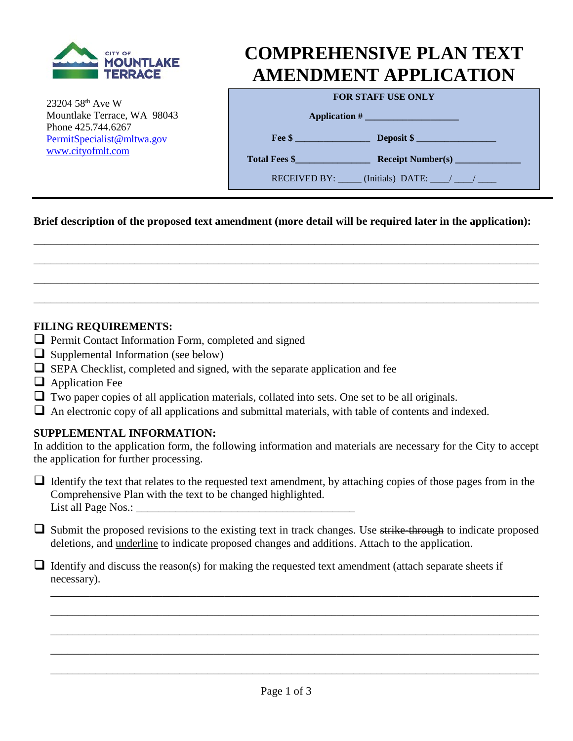

23204 58th Ave W Mountlake Terrace, WA 98043 Phone 425.744.6267 [PermitSpecialist@mltwa.g](mailto:PermitSpecialist@mltwa.)ov [www.cityofmlt.com](http://www.cityofmlt.com/)

# **COMPREHENSIVE PLAN TEXT AMENDMENT APPLICATION**

|  | <b>FOR STAFF USE ONLY</b> |  |  |  |
|--|---------------------------|--|--|--|
|--|---------------------------|--|--|--|

**Application # \_\_\_\_\_\_\_\_\_\_\_\_\_\_\_\_\_\_\_\_** 

**Fee \$** Deposit \$

**Total Fees \$\_\_\_\_\_\_\_\_\_\_\_\_\_\_\_\_ Receipt Number(s) \_\_\_\_\_\_\_\_\_\_\_\_\_\_**

RECEIVED BY: \_\_\_\_\_\_ (Initials) DATE: \_\_\_\_/ \_\_\_\_/ \_\_\_

## **Brief description of the proposed text amendment (more detail will be required later in the application):**

\_\_\_\_\_\_\_\_\_\_\_\_\_\_\_\_\_\_\_\_\_\_\_\_\_\_\_\_\_\_\_\_\_\_\_\_\_\_\_\_\_\_\_\_\_\_\_\_\_\_\_\_\_\_\_\_\_\_\_\_\_\_\_\_\_\_\_\_\_\_\_\_\_\_\_\_\_\_\_\_\_\_\_\_\_\_\_\_\_\_

\_\_\_\_\_\_\_\_\_\_\_\_\_\_\_\_\_\_\_\_\_\_\_\_\_\_\_\_\_\_\_\_\_\_\_\_\_\_\_\_\_\_\_\_\_\_\_\_\_\_\_\_\_\_\_\_\_\_\_\_\_\_\_\_\_\_\_\_\_\_\_\_\_\_\_\_\_\_\_\_\_\_\_\_\_\_\_\_\_\_

\_\_\_\_\_\_\_\_\_\_\_\_\_\_\_\_\_\_\_\_\_\_\_\_\_\_\_\_\_\_\_\_\_\_\_\_\_\_\_\_\_\_\_\_\_\_\_\_\_\_\_\_\_\_\_\_\_\_\_\_\_\_\_\_\_\_\_\_\_\_\_\_\_\_\_\_\_\_\_\_\_\_\_\_\_\_\_\_\_\_

\_\_\_\_\_\_\_\_\_\_\_\_\_\_\_\_\_\_\_\_\_\_\_\_\_\_\_\_\_\_\_\_\_\_\_\_\_\_\_\_\_\_\_\_\_\_\_\_\_\_\_\_\_\_\_\_\_\_\_\_\_\_\_\_\_\_\_\_\_\_\_\_\_\_\_\_\_\_\_\_\_\_\_\_\_\_\_\_\_\_

#### **FILING REQUIREMENTS:**

- $\Box$  Permit Contact Information Form, completed and signed
- $\Box$  Supplemental Information (see below)
- $\Box$  SEPA Checklist, completed and signed, with the separate application and fee
- $\Box$  Application Fee
- $\Box$  Two paper copies of all application materials, collated into sets. One set to be all originals.
- $\Box$  An electronic copy of all applications and submittal materials, with table of contents and indexed.

#### **SUPPLEMENTAL INFORMATION:**

In addition to the application form, the following information and materials are necessary for the City to accept the application for further processing.

If Identify the text that relates to the requested text amendment, by attaching copies of those pages from in the Comprehensive Plan with the text to be changed highlighted. List all Page Nos.:

 $\Box$  Submit the proposed revisions to the existing text in track changes. Use strike-through to indicate proposed deletions, and underline to indicate proposed changes and additions. Attach to the application.

\_\_\_\_\_\_\_\_\_\_\_\_\_\_\_\_\_\_\_\_\_\_\_\_\_\_\_\_\_\_\_\_\_\_\_\_\_\_\_\_\_\_\_\_\_\_\_\_\_\_\_\_\_\_\_\_\_\_\_\_\_\_\_\_\_\_\_\_\_\_\_\_\_\_\_\_\_\_\_\_\_\_\_\_\_\_\_

\_\_\_\_\_\_\_\_\_\_\_\_\_\_\_\_\_\_\_\_\_\_\_\_\_\_\_\_\_\_\_\_\_\_\_\_\_\_\_\_\_\_\_\_\_\_\_\_\_\_\_\_\_\_\_\_\_\_\_\_\_\_\_\_\_\_\_\_\_\_\_\_\_\_\_\_\_\_\_\_\_\_\_\_\_\_\_

\_\_\_\_\_\_\_\_\_\_\_\_\_\_\_\_\_\_\_\_\_\_\_\_\_\_\_\_\_\_\_\_\_\_\_\_\_\_\_\_\_\_\_\_\_\_\_\_\_\_\_\_\_\_\_\_\_\_\_\_\_\_\_\_\_\_\_\_\_\_\_\_\_\_\_\_\_\_\_\_\_\_\_\_\_\_\_

\_\_\_\_\_\_\_\_\_\_\_\_\_\_\_\_\_\_\_\_\_\_\_\_\_\_\_\_\_\_\_\_\_\_\_\_\_\_\_\_\_\_\_\_\_\_\_\_\_\_\_\_\_\_\_\_\_\_\_\_\_\_\_\_\_\_\_\_\_\_\_\_\_\_\_\_\_\_\_\_\_\_\_\_\_\_\_

\_\_\_\_\_\_\_\_\_\_\_\_\_\_\_\_\_\_\_\_\_\_\_\_\_\_\_\_\_\_\_\_\_\_\_\_\_\_\_\_\_\_\_\_\_\_\_\_\_\_\_\_\_\_\_\_\_\_\_\_\_\_\_\_\_\_\_\_\_\_\_\_\_\_\_\_\_\_\_\_\_\_\_\_\_\_\_

 $\Box$  Identify and discuss the reason(s) for making the requested text amendment (attach separate sheets if necessary).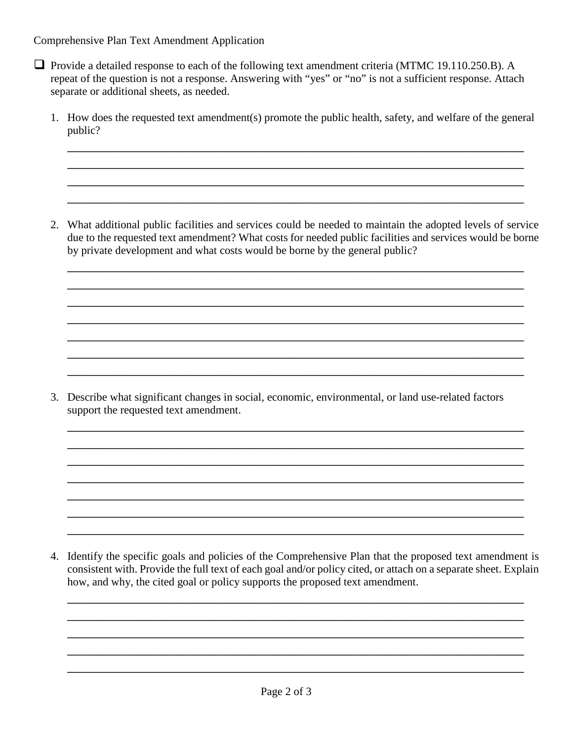Comprehensive Plan Text Amendment Application

- $\Box$  Provide a detailed response to each of the following text amendment criteria (MTMC 19.110.250.B). A repeat of the question is not a response. Answering with "yes" or "no" is not a sufficient response. Attach separate or additional sheets, as needed.
	- 1. How does the requested text amendment(s) promote the public health, safety, and welfare of the general public?

\_\_\_\_\_\_\_\_\_\_\_\_\_\_\_\_\_\_\_\_\_\_\_\_\_\_\_\_\_\_\_\_\_\_\_\_\_\_\_\_\_\_\_\_\_\_\_\_\_\_\_\_\_\_\_\_\_\_\_\_\_ \_\_\_\_\_\_\_\_\_\_\_\_\_\_\_\_\_\_\_\_\_\_\_\_\_\_\_\_\_\_\_\_\_\_\_\_\_\_\_\_\_\_\_\_\_\_\_\_\_\_\_\_\_\_\_\_\_\_\_\_\_ \_\_\_\_\_\_\_\_\_\_\_\_\_\_\_\_\_\_\_\_\_\_\_\_\_\_\_\_\_\_\_\_\_\_\_\_\_\_\_\_\_\_\_\_\_\_\_\_\_\_\_\_\_\_\_\_\_\_\_\_\_ \_\_\_\_\_\_\_\_\_\_\_\_\_\_\_\_\_\_\_\_\_\_\_\_\_\_\_\_\_\_\_\_\_\_\_\_\_\_\_\_\_\_\_\_\_\_\_\_\_\_\_\_\_\_\_\_\_\_\_\_\_

2. What additional public facilities and services could be needed to maintain the adopted levels of service due to the requested text amendment? What costs for needed public facilities and services would be borne by private development and what costs would be borne by the general public?

\_\_\_\_\_\_\_\_\_\_\_\_\_\_\_\_\_\_\_\_\_\_\_\_\_\_\_\_\_\_\_\_\_\_\_\_\_\_\_\_\_\_\_\_\_\_\_\_\_\_\_\_\_\_\_\_\_\_\_\_\_ \_\_\_\_\_\_\_\_\_\_\_\_\_\_\_\_\_\_\_\_\_\_\_\_\_\_\_\_\_\_\_\_\_\_\_\_\_\_\_\_\_\_\_\_\_\_\_\_\_\_\_\_\_\_\_\_\_\_\_\_\_ \_\_\_\_\_\_\_\_\_\_\_\_\_\_\_\_\_\_\_\_\_\_\_\_\_\_\_\_\_\_\_\_\_\_\_\_\_\_\_\_\_\_\_\_\_\_\_\_\_\_\_\_\_\_\_\_\_\_\_\_\_ \_\_\_\_\_\_\_\_\_\_\_\_\_\_\_\_\_\_\_\_\_\_\_\_\_\_\_\_\_\_\_\_\_\_\_\_\_\_\_\_\_\_\_\_\_\_\_\_\_\_\_\_\_\_\_\_\_\_\_\_\_ \_\_\_\_\_\_\_\_\_\_\_\_\_\_\_\_\_\_\_\_\_\_\_\_\_\_\_\_\_\_\_\_\_\_\_\_\_\_\_\_\_\_\_\_\_\_\_\_\_\_\_\_\_\_\_\_\_\_\_\_\_ \_\_\_\_\_\_\_\_\_\_\_\_\_\_\_\_\_\_\_\_\_\_\_\_\_\_\_\_\_\_\_\_\_\_\_\_\_\_\_\_\_\_\_\_\_\_\_\_\_\_\_\_\_\_\_\_\_\_\_\_\_ \_\_\_\_\_\_\_\_\_\_\_\_\_\_\_\_\_\_\_\_\_\_\_\_\_\_\_\_\_\_\_\_\_\_\_\_\_\_\_\_\_\_\_\_\_\_\_\_\_\_\_\_\_\_\_\_\_\_\_\_\_

3. Describe what significant changes in social, economic, environmental, or land use-related factors support the requested text amendment.

\_\_\_\_\_\_\_\_\_\_\_\_\_\_\_\_\_\_\_\_\_\_\_\_\_\_\_\_\_\_\_\_\_\_\_\_\_\_\_\_\_\_\_\_\_\_\_\_\_\_\_\_\_\_\_\_\_\_\_\_\_ \_\_\_\_\_\_\_\_\_\_\_\_\_\_\_\_\_\_\_\_\_\_\_\_\_\_\_\_\_\_\_\_\_\_\_\_\_\_\_\_\_\_\_\_\_\_\_\_\_\_\_\_\_\_\_\_\_\_\_\_\_ \_\_\_\_\_\_\_\_\_\_\_\_\_\_\_\_\_\_\_\_\_\_\_\_\_\_\_\_\_\_\_\_\_\_\_\_\_\_\_\_\_\_\_\_\_\_\_\_\_\_\_\_\_\_\_\_\_\_\_\_\_ \_\_\_\_\_\_\_\_\_\_\_\_\_\_\_\_\_\_\_\_\_\_\_\_\_\_\_\_\_\_\_\_\_\_\_\_\_\_\_\_\_\_\_\_\_\_\_\_\_\_\_\_\_\_\_\_\_\_\_\_\_ \_\_\_\_\_\_\_\_\_\_\_\_\_\_\_\_\_\_\_\_\_\_\_\_\_\_\_\_\_\_\_\_\_\_\_\_\_\_\_\_\_\_\_\_\_\_\_\_\_\_\_\_\_\_\_\_\_\_\_\_\_ \_\_\_\_\_\_\_\_\_\_\_\_\_\_\_\_\_\_\_\_\_\_\_\_\_\_\_\_\_\_\_\_\_\_\_\_\_\_\_\_\_\_\_\_\_\_\_\_\_\_\_\_\_\_\_\_\_\_\_\_\_ \_\_\_\_\_\_\_\_\_\_\_\_\_\_\_\_\_\_\_\_\_\_\_\_\_\_\_\_\_\_\_\_\_\_\_\_\_\_\_\_\_\_\_\_\_\_\_\_\_\_\_\_\_\_\_\_\_\_\_\_\_

4. Identify the specific goals and policies of the Comprehensive Plan that the proposed text amendment is consistent with. Provide the full text of each goal and/or policy cited, or attach on a separate sheet. Explain how, and why, the cited goal or policy supports the proposed text amendment.

\_\_\_\_\_\_\_\_\_\_\_\_\_\_\_\_\_\_\_\_\_\_\_\_\_\_\_\_\_\_\_\_\_\_\_\_\_\_\_\_\_\_\_\_\_\_\_\_\_\_\_\_\_\_\_\_\_\_\_\_\_ \_\_\_\_\_\_\_\_\_\_\_\_\_\_\_\_\_\_\_\_\_\_\_\_\_\_\_\_\_\_\_\_\_\_\_\_\_\_\_\_\_\_\_\_\_\_\_\_\_\_\_\_\_\_\_\_\_\_\_\_\_ \_\_\_\_\_\_\_\_\_\_\_\_\_\_\_\_\_\_\_\_\_\_\_\_\_\_\_\_\_\_\_\_\_\_\_\_\_\_\_\_\_\_\_\_\_\_\_\_\_\_\_\_\_\_\_\_\_\_\_\_\_ \_\_\_\_\_\_\_\_\_\_\_\_\_\_\_\_\_\_\_\_\_\_\_\_\_\_\_\_\_\_\_\_\_\_\_\_\_\_\_\_\_\_\_\_\_\_\_\_\_\_\_\_\_\_\_\_\_\_\_\_\_ \_\_\_\_\_\_\_\_\_\_\_\_\_\_\_\_\_\_\_\_\_\_\_\_\_\_\_\_\_\_\_\_\_\_\_\_\_\_\_\_\_\_\_\_\_\_\_\_\_\_\_\_\_\_\_\_\_\_\_\_\_